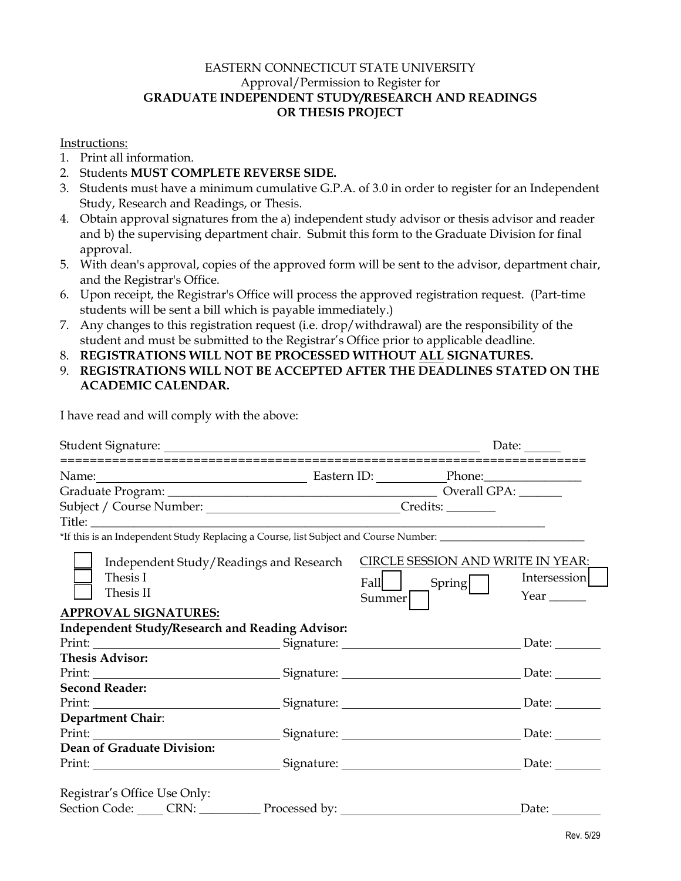## EASTERN CONNECTICUT STATE UNIVERSITY Approval/Permission to Register for **GRADUATE INDEPENDENT STUDY/RESEARCH AND READINGS OR THESIS PROJECT**

## Instructions:

- 1. Print all information.
- 2. Students **MUST COMPLETE REVERSE SIDE.**
- 3. Students must have a minimum cumulative G.P.A. of 3.0 in order to register for an Independent Study, Research and Readings, or Thesis.
- 4. Obtain approval signatures from the a) independent study advisor or thesis advisor and reader and b) the supervising department chair. Submit this form to the Graduate Division for final approval.
- 5. With dean's approval, copies of the approved form will be sent to the advisor, department chair, and the Registrar's Office.
- 6. Upon receipt, the Registrar's Office will process the approved registration request. (Part-time students will be sent a bill which is payable immediately.)
- 7. Any changes to this registration request (i.e. drop/withdrawal) are the responsibility of the student and must be submitted to the Registrar's Office prior to applicable deadline.
- 8. **REGISTRATIONS WILL NOT BE PROCESSED WITHOUT ALL SIGNATURES.**
- 9. **REGISTRATIONS WILL NOT BE ACCEPTED AFTER THE DEADLINES STATED ON THE ACADEMIC CALENDAR.**

I have read and will comply with the above:

|                                                                                                                |  | Date:                                    |                        |
|----------------------------------------------------------------------------------------------------------------|--|------------------------------------------|------------------------|
| Name: <u>Name: Phone: Phone: Phone: Phone: Phone:</u> Phone: Phone: 2014                                       |  |                                          |                        |
|                                                                                                                |  |                                          |                        |
|                                                                                                                |  |                                          |                        |
|                                                                                                                |  |                                          |                        |
| *If this is an Independent Study Replacing a Course, list Subject and Course Number: _________________________ |  |                                          |                        |
| Independent Study/Readings and Research<br>Thesis I                                                            |  | <b>CIRCLE SESSION AND WRITE IN YEAR:</b> | Intersession           |
| Thesis II                                                                                                      |  | Spring  <br>Fall<br>Summer               | Year $\_\_\_\_\_\_\_\$ |
| <b>APPROVAL SIGNATURES:</b>                                                                                    |  |                                          |                        |
| <b>Independent Study/Research and Reading Advisor:</b>                                                         |  |                                          |                        |
|                                                                                                                |  |                                          | Date: $\qquad \qquad$  |
| <b>Thesis Advisor:</b>                                                                                         |  |                                          |                        |
|                                                                                                                |  |                                          |                        |
| <b>Second Reader:</b>                                                                                          |  |                                          |                        |
|                                                                                                                |  |                                          | Date: $\_\_$           |
| Department Chair:                                                                                              |  |                                          |                        |
|                                                                                                                |  |                                          | Date: $\qquad \qquad$  |
| Dean of Graduate Division:                                                                                     |  |                                          |                        |
|                                                                                                                |  |                                          | Date: $\_\_$           |
| Registrar's Office Use Only:                                                                                   |  |                                          |                        |
| Section Code: CRN: CRN: Processed by:                                                                          |  |                                          | Date:                  |